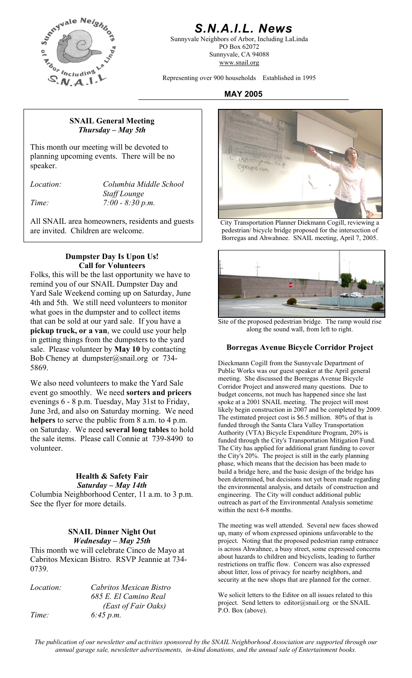

## *S.N.A.I.L. News*

Sunnyvale Neighbors of Arbor, Including LaLinda PO Box 62072 Sunnyvale, CA 94088 www.snail.org

Representing over 900 households Established in 1995

#### **MAY 2005**

#### **SNAIL General Meeting**  *Thursday – May 5th*

This month our meeting will be devoted to planning upcoming events. There will be no speaker.

*Location: Columbia Middle School Staff Lounge Time: 7:00 - 8:30 p.m.* 

All SNAIL area homeowners, residents and guests are invited. Children are welcome.

#### **Dumpster Day Is Upon Us! Call for Volunteers**

Folks, this will be the last opportunity we have to remind you of our SNAIL Dumpster Day and Yard Sale Weekend coming up on Saturday, June 4th and 5th. We still need volunteers to monitor what goes in the dumpster and to collect items that can be sold at our yard sale. If you have a **pickup truck, or a van**, we could use your help in getting things from the dumpsters to the yard sale. Please volunteer by **May 10** by contacting Bob Cheney at dumpster@snail.org or 734-5869.

We also need volunteers to make the Yard Sale event go smoothly. We need **sorters and pricers** evenings 6 - 8 p.m. Tuesday, May 31st to Friday, June 3rd, and also on Saturday morning. We need **helpers** to serve the public from 8 a.m. to 4 p.m. on Saturday. We need **several long tables** to hold the sale items. Please call Connie at 739-8490 to volunteer.

#### **Health & Safety Fair**  *Saturday – May 14th*

Columbia Neighborhood Center, 11 a.m. to 3 p.m. See the flyer for more details.

#### **SNAIL Dinner Night Out**  *Wednesday – May 25th*

This month we will celebrate Cinco de Mayo at Cabritos Mexican Bistro. RSVP Jeannie at 734- 0739.

*Location: Cabritos Mexican Bistro 685 E. El Camino Real (East of Fair Oaks) Time: 6:45 p.m.* 



City Transportation Planner Diekmann Cogill, reviewing a pedestrian/ bicycle bridge proposed for the intersection of Borregas and Ahwahnee. SNAIL meeting, April 7, 2005.



Site of the proposed pedestrian bridge. The ramp would rise along the sound wall, from left to right.

#### **Borregas Avenue Bicycle Corridor Project**

Dieckmann Cogill from the Sunnyvale Department of Public Works was our guest speaker at the April general meeting. She discussed the Borregas Avenue Bicycle Corridor Project and answered many questions. Due to budget concerns, not much has happened since she last spoke at a 2001 SNAIL meeting. The project will most likely begin construction in 2007 and be completed by 2009. The estimated project cost is \$6.5 million. 80% of that is funded through the Santa Clara Valley Transportation Authority (VTA) Bicycle Expenditure Program, 20% is funded through the City's Transportation Mitigation Fund. The City has applied for additional grant funding to cover the City's 20%. The project is still in the early planning phase, which means that the decision has been made to build a bridge here, and the basic design of the bridge has been determined, but decisions not yet been made regarding the environmental analysis, and details of construction and engineering. The City will conduct additional public outreach as part of the Environmental Analysis sometime within the next 6-8 months.

The meeting was well attended. Several new faces showed up, many of whom expressed opinions unfavorable to the project. Noting that the proposed pedestrian ramp entrance is across Ahwahnee, a busy street, some expressed concerns about hazards to children and bicyclists, leading to further restrictions on traffic flow. Concern was also expressed about litter, loss of privacy for nearby neighbors, and security at the new shops that are planned for the corner.

We solicit letters to the Editor on all issues related to this project. Send letters to editor@snail.org or the SNAIL P.O. Box (above).

*The publication of our newsletter and activities sponsored by the SNAIL Neighborhood Association are supported through our annual garage sale, newsletter advertisements, in-kind donations, and the annual sale of Entertainment books.*